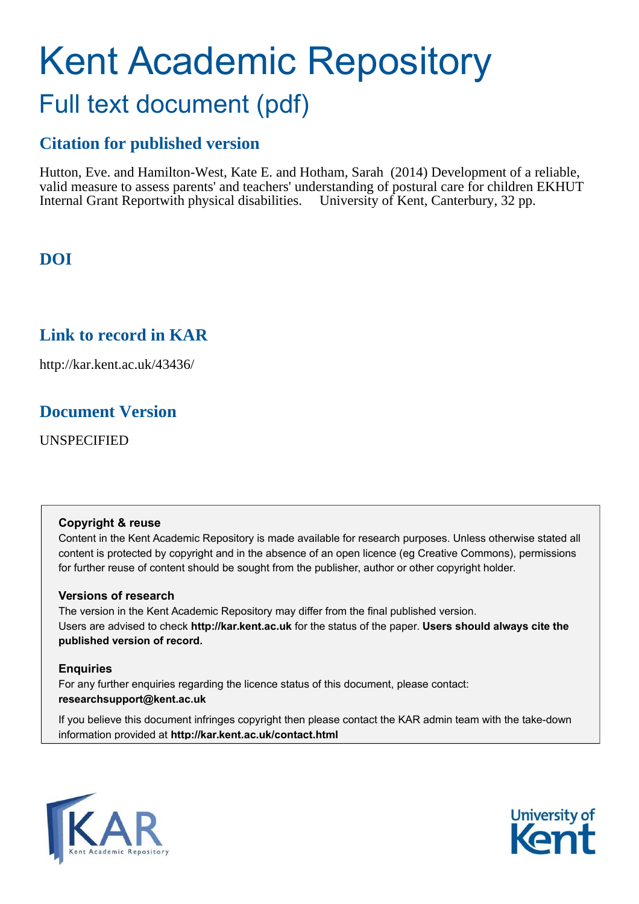# Kent Academic Repository Full text document (pdf)

# **Citation for published version**

Hutton, Eve. and Hamilton-West, Kate E. and Hotham, Sarah (2014) Development of a reliable, valid measure to assess parents' and teachers' understanding of postural care for children EKHUT Internal Grant Reportwith physical disabilities. University of Kent, Canterbury, 32 pp.

# **DOI**

# **Link to record in KAR**

http://kar.kent.ac.uk/43436/

# **Document Version**

UNSPECIFIED

# **Copyright & reuse**

Content in the Kent Academic Repository is made available for research purposes. Unless otherwise stated all content is protected by copyright and in the absence of an open licence (eg Creative Commons), permissions for further reuse of content should be sought from the publisher, author or other copyright holder.

# **Versions of research**

The version in the Kent Academic Repository may differ from the final published version. Users are advised to check **http://kar.kent.ac.uk** for the status of the paper. **Users should always cite the published version of record.**

# **Enquiries**

For any further enquiries regarding the licence status of this document, please contact: **researchsupport@kent.ac.uk**

If you believe this document infringes copyright then please contact the KAR admin team with the take-down information provided at **http://kar.kent.ac.uk/contact.html**



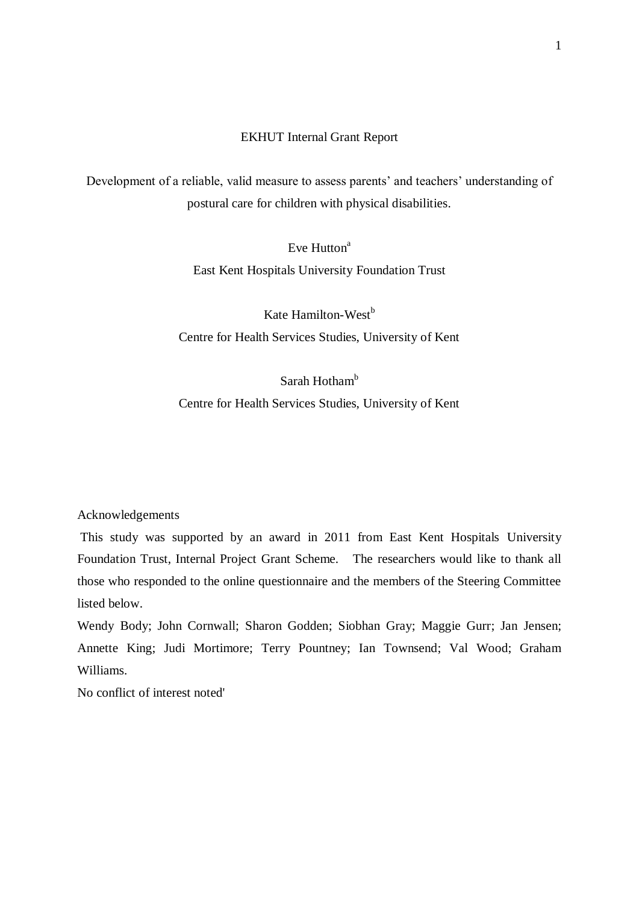# EKHUT Internal Grant Report

Development of a reliable, valid measure to assess parents' and teachers' understanding of postural care for children with physical disabilities.

> Eve  $H$ utton<sup>a</sup> East Kent Hospitals University Foundation Trust

Kate Hamilton-West $<sup>b</sup>$ </sup> Centre for Health Services Studies, University of Kent

Sarah Hotham<sup>b</sup>

Centre for Health Services Studies, University of Kent

Acknowledgements

 This study was supported by an award in 2011 from East Kent Hospitals University Foundation Trust, Internal Project Grant Scheme. The researchers would like to thank all those who responded to the online questionnaire and the members of the Steering Committee listed below.

Wendy Body; John Cornwall; Sharon Godden; Siobhan Gray; Maggie Gurr; Jan Jensen; Annette King; Judi Mortimore; Terry Pountney; Ian Townsend; Val Wood; Graham Williams.

No conflict of interest noted'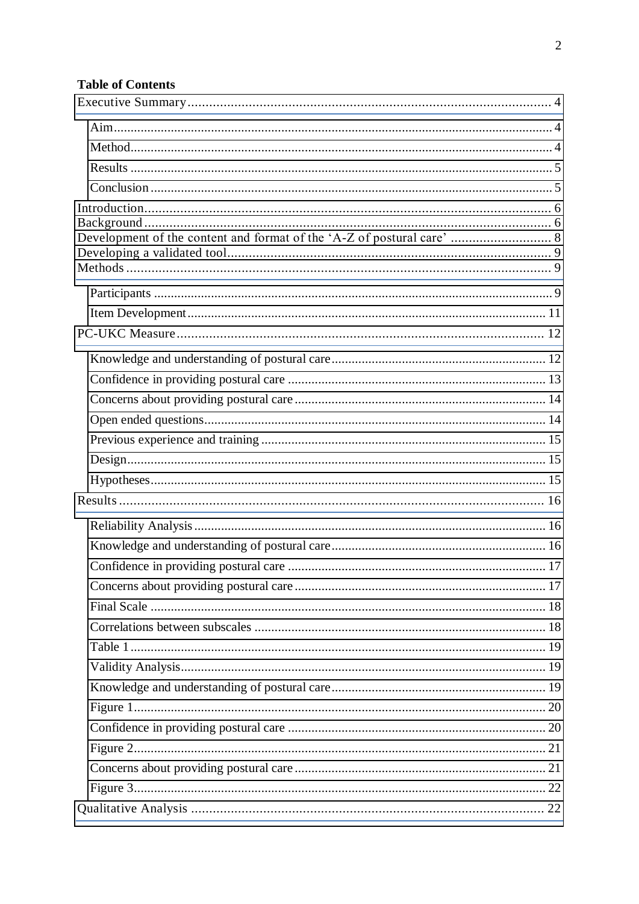# **Table of Contents**

| ,我们也不能在这里的时候,我们也不能在这里的时候,我们也不能会在这里的时候,我们也不能会在这里的时候,我们也不能会在这里的时候,我们也不能会在这里的时候,我们也 |  |
|----------------------------------------------------------------------------------|--|
|                                                                                  |  |
|                                                                                  |  |
|                                                                                  |  |
|                                                                                  |  |
|                                                                                  |  |
|                                                                                  |  |
|                                                                                  |  |
|                                                                                  |  |
|                                                                                  |  |
|                                                                                  |  |
|                                                                                  |  |
|                                                                                  |  |
|                                                                                  |  |
|                                                                                  |  |
|                                                                                  |  |
|                                                                                  |  |
|                                                                                  |  |
|                                                                                  |  |
|                                                                                  |  |
|                                                                                  |  |
|                                                                                  |  |
|                                                                                  |  |
|                                                                                  |  |
|                                                                                  |  |
|                                                                                  |  |
|                                                                                  |  |
|                                                                                  |  |
|                                                                                  |  |
|                                                                                  |  |
|                                                                                  |  |
|                                                                                  |  |
|                                                                                  |  |
|                                                                                  |  |
|                                                                                  |  |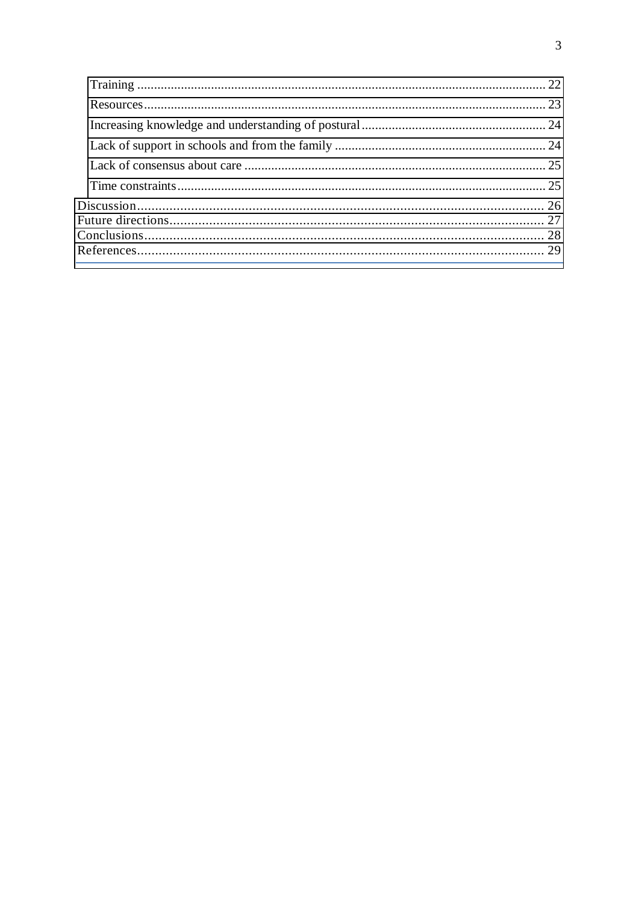<span id="page-3-2"></span><span id="page-3-1"></span><span id="page-3-0"></span>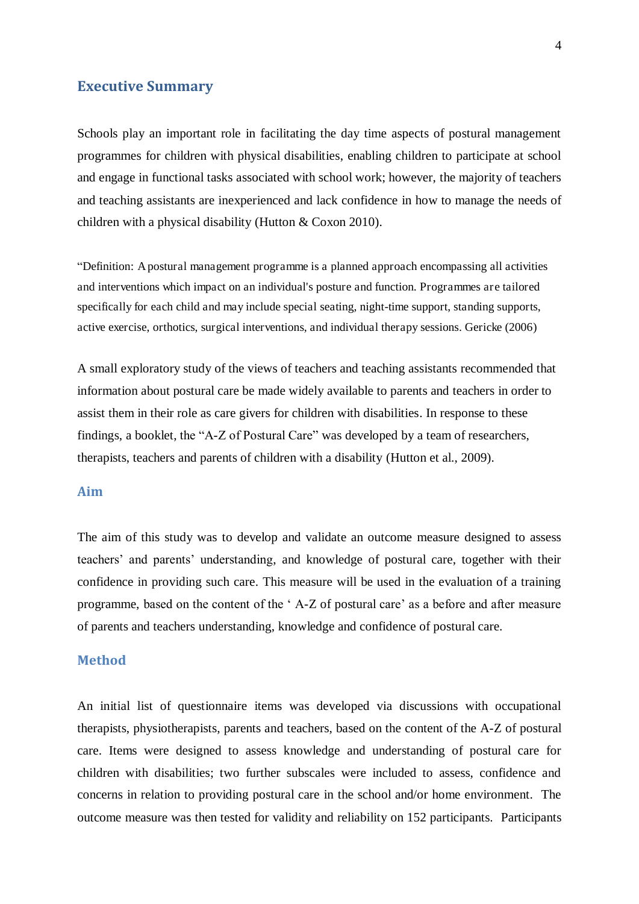# **Executive Summary**

<span id="page-4-0"></span>Schools play an important role in facilitating the day time aspects of postural management programmes for children with physical disabilities, enabling children to participate at school and engage in functional tasks associated with school work; however, the majority of teachers and teaching assistants are inexperienced and lack confidence in how to manage the needs of children with a physical disability (Hutton & Coxon 2010).

"Definition: A postural management programme is a planned approach encompassing all activities and interventions which impact on an individual's posture and function. Programmes are tailored specifically for each child and may include special seating, night-time support, standing supports, active exercise, orthotics, surgical interventions, and individual therapy sessions. Gericke (2006)

A small exploratory study of the views of teachers and teaching assistants recommended that information about postural care be made widely available to parents and teachers in order to assist them in their role as care givers for children with disabilities. In response to these findings, a booklet, the "A-Z of Postural Care" was developed by a team of researchers, therapists, teachers and parents of children with a disability (Hutton et al., 2009).

#### <span id="page-4-1"></span>**Aim**

The aim of this study was to develop and validate an outcome measure designed to assess teachers" and parents" understanding, and knowledge of postural care, together with their confidence in providing such care. This measure will be used in the evaluation of a training programme, based on the content of the " A-Z of postural care" as a before and after measure of parents and teachers understanding, knowledge and confidence of postural care.

#### <span id="page-4-2"></span>**Method**

An initial list of questionnaire items was developed via discussions with occupational therapists, physiotherapists, parents and teachers, based on the content of the A-Z of postural care. Items were designed to assess knowledge and understanding of postural care for children with disabilities; two further subscales were included to assess, confidence and concerns in relation to providing postural care in the school and/or home environment. The outcome measure was then tested for validity and reliability on 152 participants. Participants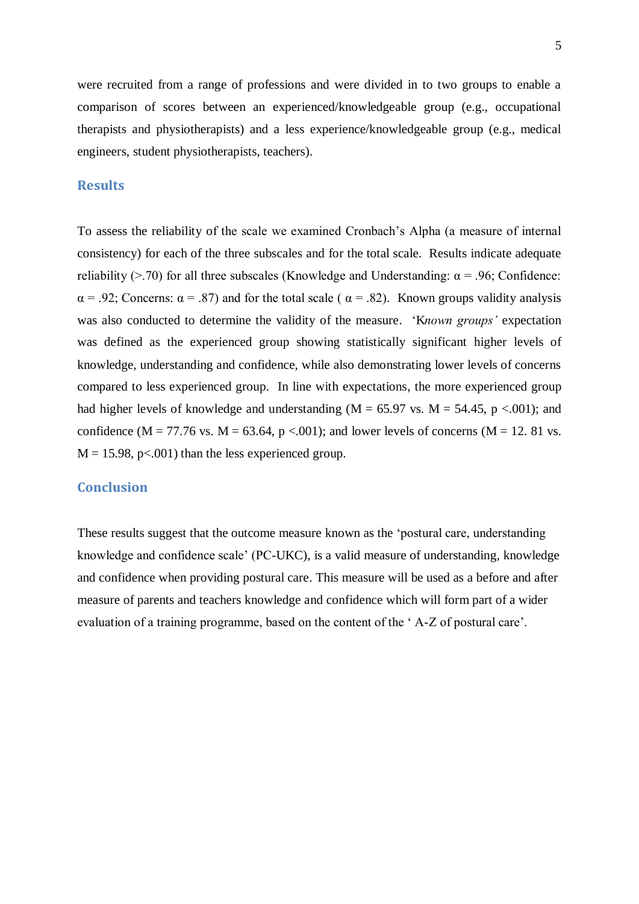were recruited from a range of professions and were divided in to two groups to enable a comparison of scores between an experienced/knowledgeable group (e.g., occupational therapists and physiotherapists) and a less experience/knowledgeable group (e.g., medical engineers, student physiotherapists, teachers).

# **Results**

To assess the reliability of the scale we examined Cronbach"s Alpha (a measure of internal consistency) for each of the three subscales and for the total scale. Results indicate adequate reliability ( $>$ .70) for all three subscales (Knowledge and Understanding:  $\alpha$  = .96; Confidence:  $\alpha$  = .92; Concerns:  $\alpha$  = .87) and for the total scale (  $\alpha$  = .82). Known groups validity analysis was also conducted to determine the validity of the measure. "K*nown groups'* expectation was defined as the experienced group showing statistically significant higher levels of knowledge, understanding and confidence, while also demonstrating lower levels of concerns compared to less experienced group. In line with expectations, the more experienced group had higher levels of knowledge and understanding ( $M = 65.97$  vs.  $M = 54.45$ , p <.001); and confidence ( $M = 77.76$  vs.  $M = 63.64$ ,  $p < .001$ ); and lower levels of concerns ( $M = 12$ . 81 vs.  $M = 15.98$ , p<.001) than the less experienced group.

#### <span id="page-5-0"></span>**Conclusion**

These results suggest that the outcome measure known as the "postural care, understanding knowledge and confidence scale" (PC-UKC), is a valid measure of understanding, knowledge and confidence when providing postural care. This measure will be used as a before and after measure of parents and teachers knowledge and confidence which will form part of a wider evaluation of a training programme, based on the content of the 'A-Z of postural care'.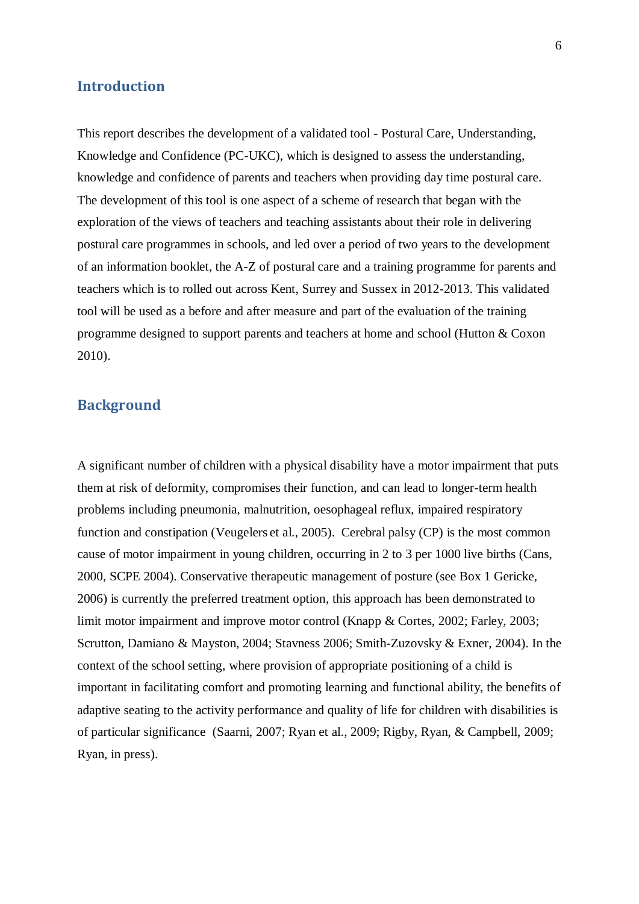#### **Introduction**

This report describes the development of a validated tool - Postural Care, Understanding, Knowledge and Confidence (PC-UKC), which is designed to assess the understanding, knowledge and confidence of parents and teachers when providing day time postural care. The development of this tool is one aspect of a scheme of research that began with the exploration of the views of teachers and teaching assistants about their role in delivering postural care programmes in schools, and led over a period of two years to the development of an information booklet, the A-Z of postural care and a training programme for parents and teachers which is to rolled out across Kent, Surrey and Sussex in 2012-2013. This validated tool will be used as a before and after measure and part of the evaluation of the training programme designed to support parents and teachers at home and school (Hutton & Coxon 2010).

# **Background**

A significant number of children with a physical disability have a motor impairment that puts them at risk of deformity, compromises their function, and can lead to longer-term health problems including pneumonia, malnutrition, oesophageal reflux, impaired respiratory function and constipation (Veugelers et al., 2005). Cerebral palsy (CP) is the most common cause of motor impairment in young children, occurring in 2 to 3 per 1000 live births (Cans, 2000, SCPE 2004). Conservative therapeutic management of posture (see Box 1 Gericke, 2006) is currently the preferred treatment option, this approach has been demonstrated to limit motor impairment and improve motor control (Knapp & Cortes, 2002; Farley, 2003; Scrutton, Damiano & Mayston, 2004; Stavness 2006; Smith-Zuzovsky & Exner, 2004). In the context of the school setting, where provision of appropriate positioning of a child is important in facilitating comfort and promoting learning and functional ability, the benefits of adaptive seating to the activity performance and quality of life for children with disabilities is of particular significance (Saarni, 2007; Ryan et al., 2009; Rigby, Ryan, & Campbell, 2009; Ryan, in press).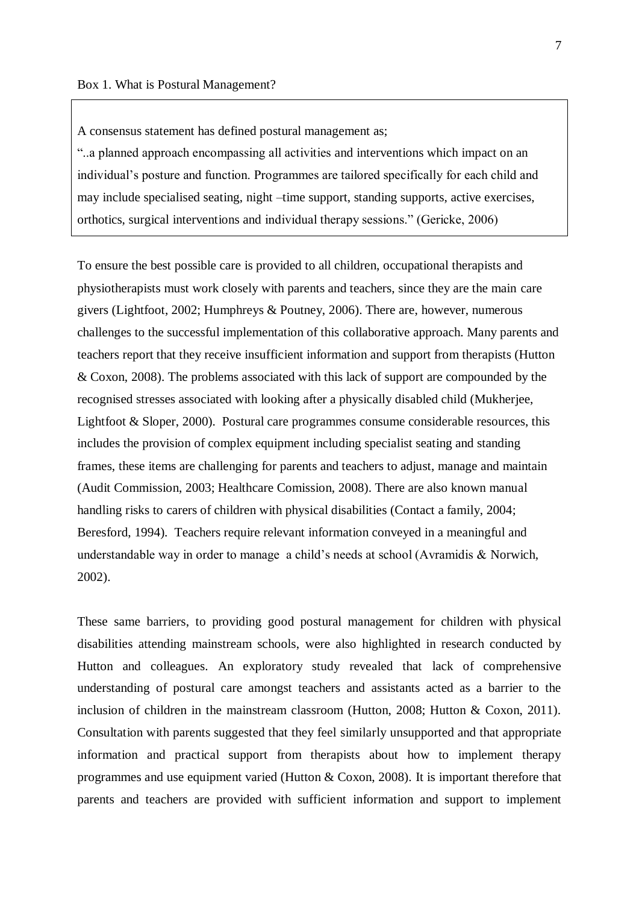A consensus statement has defined postural management as;

"..a planned approach encompassing all activities and interventions which impact on an individual"s posture and function. Programmes are tailored specifically for each child and may include specialised seating, night –time support, standing supports, active exercises, orthotics, surgical interventions and individual therapy sessions." (Gericke, 2006)

<span id="page-7-0"></span>To ensure the best possible care is provided to all children, occupational therapists and physiotherapists must work closely with parents and teachers, since they are the main care givers (Lightfoot, 2002; Humphreys & Poutney, 2006). There are, however, numerous challenges to the successful implementation of this collaborative approach. Many parents and teachers report that they receive insufficient information and support from therapists (Hutton & Coxon, 2008). The problems associated with this lack of support are compounded by the recognised stresses associated with looking after a physically disabled child (Mukherjee, Lightfoot & Sloper, 2000). Postural care programmes consume considerable resources, this includes the provision of complex equipment including specialist seating and standing frames, these items are challenging for parents and teachers to adjust, manage and maintain (Audit Commission, 2003; Healthcare Comission, 2008). There are also known manual handling risks to carers of children with physical disabilities (Contact a family, 2004; Beresford, 1994). Teachers require relevant information conveyed in a meaningful and understandable way in order to manage a child"s needs at school (Avramidis & Norwich, 2002).

These same barriers, to providing good postural management for children with physical disabilities attending mainstream schools, were also highlighted in research conducted by Hutton and colleagues. An exploratory study revealed that lack of comprehensive understanding of postural care amongst teachers and assistants acted as a barrier to the inclusion of children in the mainstream classroom (Hutton, 2008; Hutton & Coxon, 2011). Consultation with parents suggested that they feel similarly unsupported and that appropriate information and practical support from therapists about how to implement therapy programmes and use equipment varied (Hutton & Coxon, 2008). It is important therefore that parents and teachers are provided with sufficient information and support to implement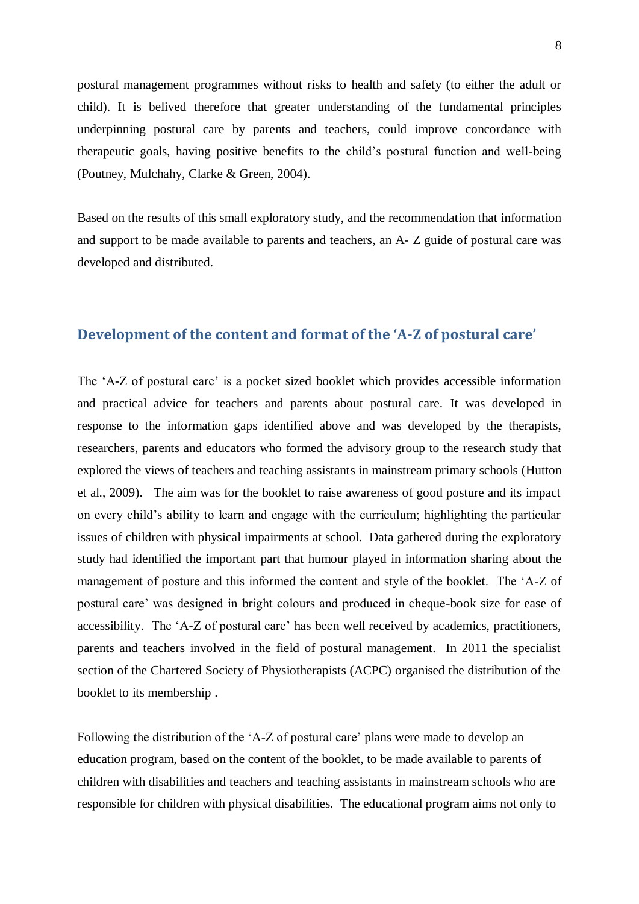postural management programmes without risks to health and safety (to either the adult or child). It is belived therefore that greater understanding of the fundamental principles underpinning postural care by parents and teachers, could improve concordance with therapeutic goals, having positive benefits to the child"s postural function and well-being (Poutney, Mulchahy, Clarke & Green, 2004).

<span id="page-8-0"></span>Based on the results of this small exploratory study, and the recommendation that information and support to be made available to parents and teachers, an A- Z guide of postural care was developed and distributed.

# **Development of the content and format of the 'A-Z of postural care'**

<span id="page-8-1"></span>The 'A-Z of postural care' is a pocket sized booklet which provides accessible information and practical advice for teachers and parents about postural care. It was developed in response to the information gaps identified above and was developed by the therapists, researchers, parents and educators who formed the advisory group to the research study that explored the views of teachers and teaching assistants in mainstream primary schools (Hutton et al., 2009). The aim was for the booklet to raise awareness of good posture and its impact on every child"s ability to learn and engage with the curriculum; highlighting the particular issues of children with physical impairments at school. Data gathered during the exploratory study had identified the important part that humour played in information sharing about the management of posture and this informed the content and style of the booklet. The "A-Z of postural care" was designed in bright colours and produced in cheque-book size for ease of accessibility. The 'A-Z of postural care' has been well received by academics, practitioners, parents and teachers involved in the field of postural management. In 2011 the specialist section of the Chartered Society of Physiotherapists (ACPC) organised the distribution of the booklet to its membership .

<span id="page-8-2"></span>Following the distribution of the 'A-Z of postural care' plans were made to develop an education program, based on the content of the booklet, to be made available to parents of children with disabilities and teachers and teaching assistants in mainstream schools who are responsible for children with physical disabilities. The educational program aims not only to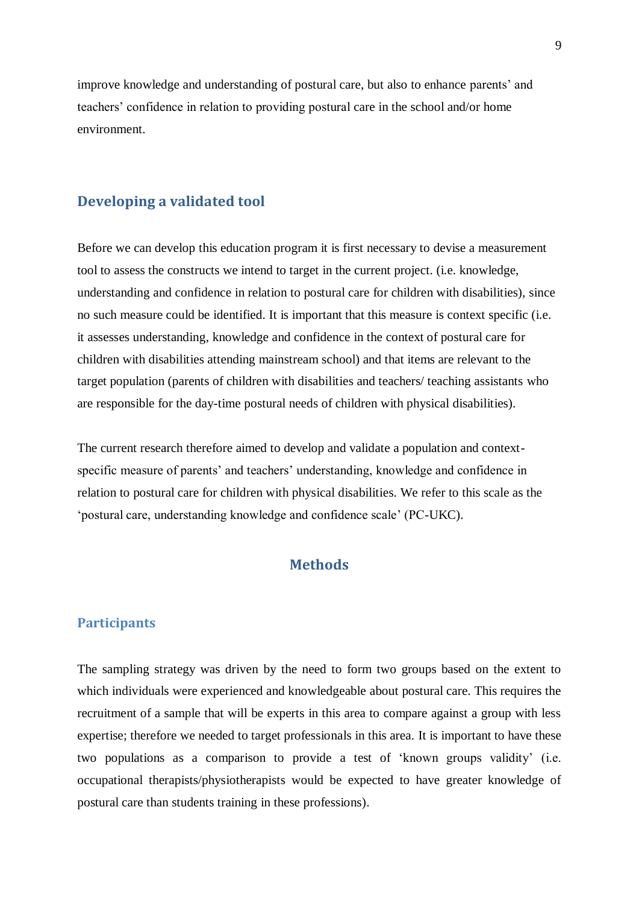improve knowledge and understanding of postural care, but also to enhance parents" and teachers" confidence in relation to providing postural care in the school and/or home environment.

# **Developing a validated tool**

Before we can develop this education program it is first necessary to devise a measurement tool to assess the constructs we intend to target in the current project. (i.e. knowledge, understanding and confidence in relation to postural care for children with disabilities), since no such measure could be identified. It is important that this measure is context specific (i.e. it assesses understanding, knowledge and confidence in the context of postural care for children with disabilities attending mainstream school) and that items are relevant to the target population (parents of children with disabilities and teachers/ teaching assistants who are responsible for the day-time postural needs of children with physical disabilities).

The current research therefore aimed to develop and validate a population and contextspecific measure of parents' and teachers' understanding, knowledge and confidence in relation to postural care for children with physical disabilities. We refer to this scale as the "postural care, understanding knowledge and confidence scale" (PC-UKC).

# **Methods**

#### **Participants**

The sampling strategy was driven by the need to form two groups based on the extent to which individuals were experienced and knowledgeable about postural care. This requires the recruitment of a sample that will be experts in this area to compare against a group with less expertise; therefore we needed to target professionals in this area. It is important to have these two populations as a comparison to provide a test of "known groups validity" (i.e. occupational therapists/physiotherapists would be expected to have greater knowledge of postural care than students training in these professions).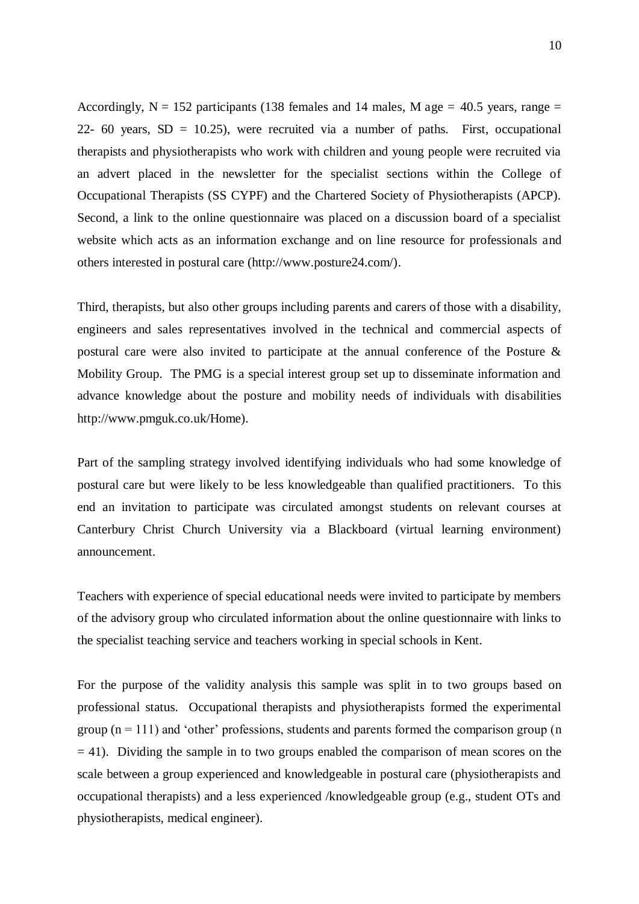<span id="page-10-0"></span>Accordingly,  $N = 152$  participants (138 females and 14 males, M age = 40.5 years, range = 22- 60 years,  $SD = 10.25$ ), were recruited via a number of paths. First, occupational therapists and physiotherapists who work with children and young people were recruited via an advert placed in the newsletter for the specialist sections within the College of Occupational Therapists (SS CYPF) and the Chartered Society of Physiotherapists (APCP). Second, a link to the online questionnaire was placed on a discussion board of a specialist website which acts as an information exchange and on line resource for professionals and others interested in postural care (http://www.posture24.com/).

Third, therapists, but also other groups including parents and carers of those with a disability, engineers and sales representatives involved in the technical and commercial aspects of postural care were also invited to participate at the annual conference of the Posture & Mobility Group. The PMG is a special interest group set up to disseminate information and advance knowledge about the posture and mobility needs of individuals with disabilities http://www.pmguk.co.uk/Home).

Part of the sampling strategy involved identifying individuals who had some knowledge of postural care but were likely to be less knowledgeable than qualified practitioners. To this end an invitation to participate was circulated amongst students on relevant courses at Canterbury Christ Church University via a Blackboard (virtual learning environment) announcement.

Teachers with experience of special educational needs were invited to participate by members of the advisory group who circulated information about the online questionnaire with links to the specialist teaching service and teachers working in special schools in Kent.

For the purpose of the validity analysis this sample was split in to two groups based on professional status. Occupational therapists and physiotherapists formed the experimental group  $(n = 111)$  and 'other' professions, students and parents formed the comparison group  $(n = 111)$  $= 41$ ). Dividing the sample in to two groups enabled the comparison of mean scores on the scale between a group experienced and knowledgeable in postural care (physiotherapists and occupational therapists) and a less experienced /knowledgeable group (e.g., student OTs and physiotherapists, medical engineer).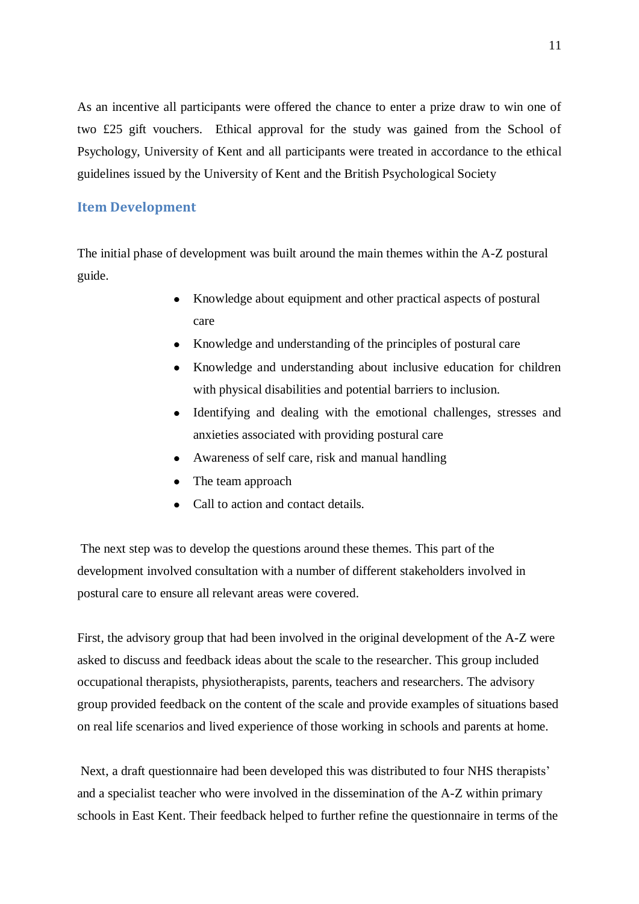As an incentive all participants were offered the chance to enter a prize draw to win one of two £25 gift vouchers. Ethical approval for the study was gained from the School of Psychology, University of Kent and all participants were treated in accordance to the ethical guidelines issued by the University of Kent and the British Psychological Society

# **Item Development**

The initial phase of development was built around the main themes within the A-Z postural guide.

- Knowledge about equipment and other practical aspects of postural  $\bullet$ care
- Knowledge and understanding of the principles of postural care
- Knowledge and understanding about inclusive education for children with physical disabilities and potential barriers to inclusion.
- Identifying and dealing with the emotional challenges, stresses and anxieties associated with providing postural care
- Awareness of self care, risk and manual handling
- The team approach
- Call to action and contact details.

<span id="page-11-0"></span> The next step was to develop the questions around these themes. This part of the development involved consultation with a number of different stakeholders involved in postural care to ensure all relevant areas were covered.

First, the advisory group that had been involved in the original development of the A-Z were asked to discuss and feedback ideas about the scale to the researcher. This group included occupational therapists, physiotherapists, parents, teachers and researchers. The advisory group provided feedback on the content of the scale and provide examples of situations based on real life scenarios and lived experience of those working in schools and parents at home.

<span id="page-11-1"></span> Next, a draft questionnaire had been developed this was distributed to four NHS therapists" and a specialist teacher who were involved in the dissemination of the A-Z within primary schools in East Kent. Their feedback helped to further refine the questionnaire in terms of the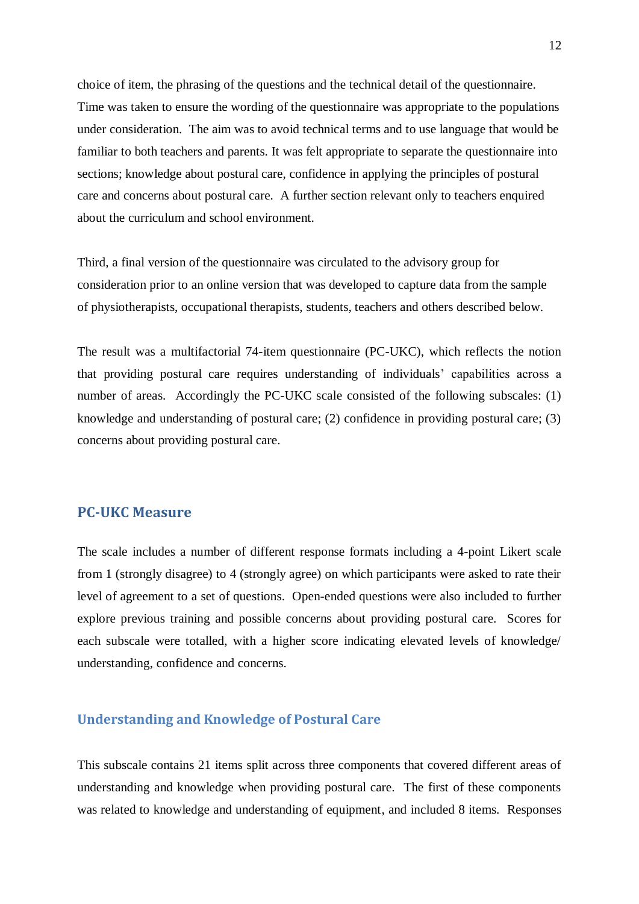choice of item, the phrasing of the questions and the technical detail of the questionnaire. Time was taken to ensure the wording of the questionnaire was appropriate to the populations under consideration. The aim was to avoid technical terms and to use language that would be familiar to both teachers and parents. It was felt appropriate to separate the questionnaire into sections; knowledge about postural care, confidence in applying the principles of postural care and concerns about postural care. A further section relevant only to teachers enquired about the curriculum and school environment.

Third, a final version of the questionnaire was circulated to the advisory group for consideration prior to an online version that was developed to capture data from the sample of physiotherapists, occupational therapists, students, teachers and others described below.

The result was a multifactorial 74-item questionnaire (PC-UKC), which reflects the notion that providing postural care requires understanding of individuals" capabilities across a number of areas. Accordingly the PC-UKC scale consisted of the following subscales: (1) knowledge and understanding of postural care; (2) confidence in providing postural care; (3) concerns about providing postural care.

# <span id="page-12-0"></span>**PC-UKC Measure**

The scale includes a number of different response formats including a 4-point Likert scale from 1 (strongly disagree) to 4 (strongly agree) on which participants were asked to rate their level of agreement to a set of questions. Open-ended questions were also included to further explore previous training and possible concerns about providing postural care. Scores for each subscale were totalled, with a higher score indicating elevated levels of knowledge/ understanding, confidence and concerns.

#### **Understanding and Knowledge of Postural Care**

This subscale contains 21 items split across three components that covered different areas of understanding and knowledge when providing postural care. The first of these components was related to knowledge and understanding of equipment, and included 8 items. Responses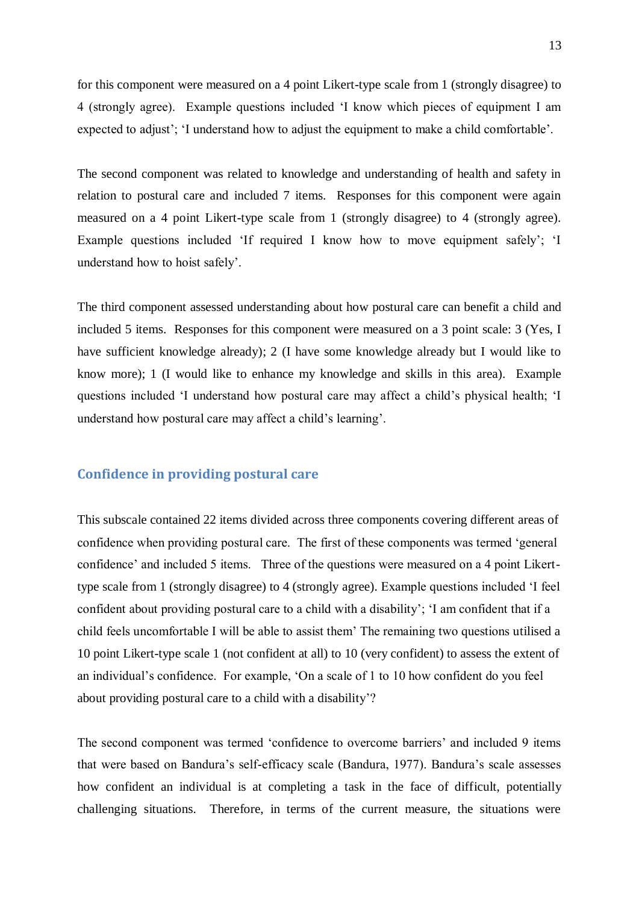for this component were measured on a 4 point Likert-type scale from 1 (strongly disagree) to 4 (strongly agree). Example questions included "I know which pieces of equipment I am expected to adjust'; 'I understand how to adjust the equipment to make a child comfortable'.

The second component was related to knowledge and understanding of health and safety in relation to postural care and included 7 items. Responses for this component were again measured on a 4 point Likert-type scale from 1 (strongly disagree) to 4 (strongly agree). Example questions included 'If required I know how to move equipment safely'; 'I understand how to hoist safely".

<span id="page-13-0"></span>The third component assessed understanding about how postural care can benefit a child and included 5 items. Responses for this component were measured on a 3 point scale: 3 (Yes, I have sufficient knowledge already); 2 (I have some knowledge already but I would like to know more); 1 (I would like to enhance my knowledge and skills in this area). Example questions included "I understand how postural care may affect a child"s physical health; "I understand how postural care may affect a child"s learning".

### **Confidence in providing postural care**

<span id="page-13-1"></span>This subscale contained 22 items divided across three components covering different areas of confidence when providing postural care. The first of these components was termed "general confidence' and included 5 items. Three of the questions were measured on a 4 point Likerttype scale from 1 (strongly disagree) to 4 (strongly agree). Example questions included "I feel confident about providing postural care to a child with a disability"; "I am confident that if a child feels uncomfortable I will be able to assist them" The remaining two questions utilised a 10 point Likert-type scale 1 (not confident at all) to 10 (very confident) to assess the extent of an individual"s confidence. For example, "On a scale of 1 to 10 how confident do you feel about providing postural care to a child with a disability"?

The second component was termed 'confidence to overcome barriers' and included 9 items that were based on Bandura"s self-efficacy scale (Bandura, 1977). Bandura"s scale assesses how confident an individual is at completing a task in the face of difficult, potentially challenging situations. Therefore, in terms of the current measure, the situations were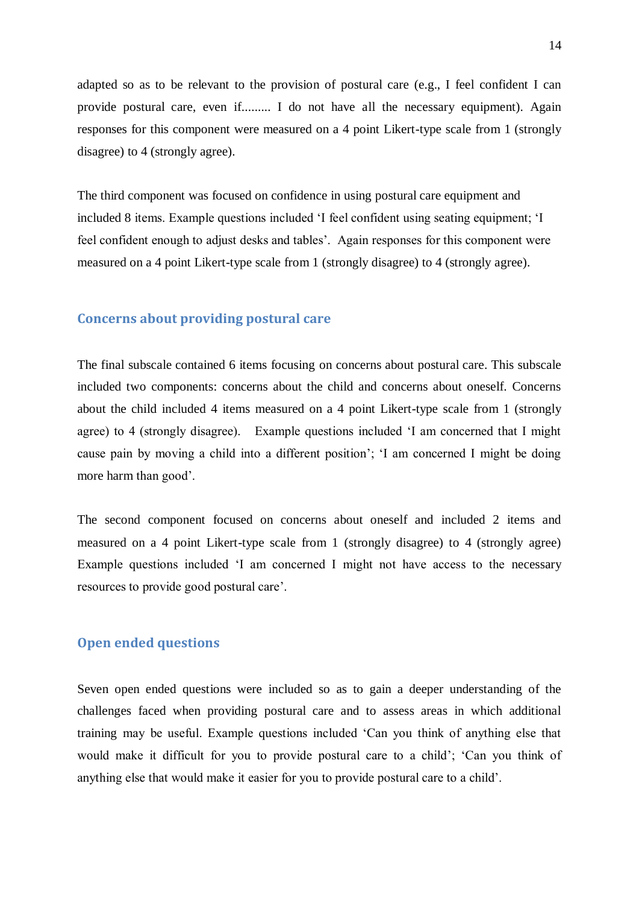<span id="page-14-0"></span>adapted so as to be relevant to the provision of postural care (e.g., I feel confident I can provide postural care, even if......... I do not have all the necessary equipment). Again responses for this component were measured on a 4 point Likert-type scale from 1 (strongly disagree) to 4 (strongly agree).

The third component was focused on confidence in using postural care equipment and included 8 items. Example questions included "I feel confident using seating equipment; "I feel confident enough to adjust desks and tables". Again responses for this component were measured on a 4 point Likert-type scale from 1 (strongly disagree) to 4 (strongly agree).

#### <span id="page-14-1"></span>**Concerns about providing postural care**

The final subscale contained 6 items focusing on concerns about postural care. This subscale included two components: concerns about the child and concerns about oneself. Concerns about the child included 4 items measured on a 4 point Likert-type scale from 1 (strongly agree) to 4 (strongly disagree). Example questions included "I am concerned that I might cause pain by moving a child into a different position"; "I am concerned I might be doing more harm than good".

<span id="page-14-2"></span>The second component focused on concerns about oneself and included 2 items and measured on a 4 point Likert-type scale from 1 (strongly disagree) to 4 (strongly agree) Example questions included "I am concerned I might not have access to the necessary resources to provide good postural care".

#### **Open ended questions**

Seven open ended questions were included so as to gain a deeper understanding of the challenges faced when providing postural care and to assess areas in which additional training may be useful. Example questions included "Can you think of anything else that would make it difficult for you to provide postural care to a child"; "Can you think of anything else that would make it easier for you to provide postural care to a child".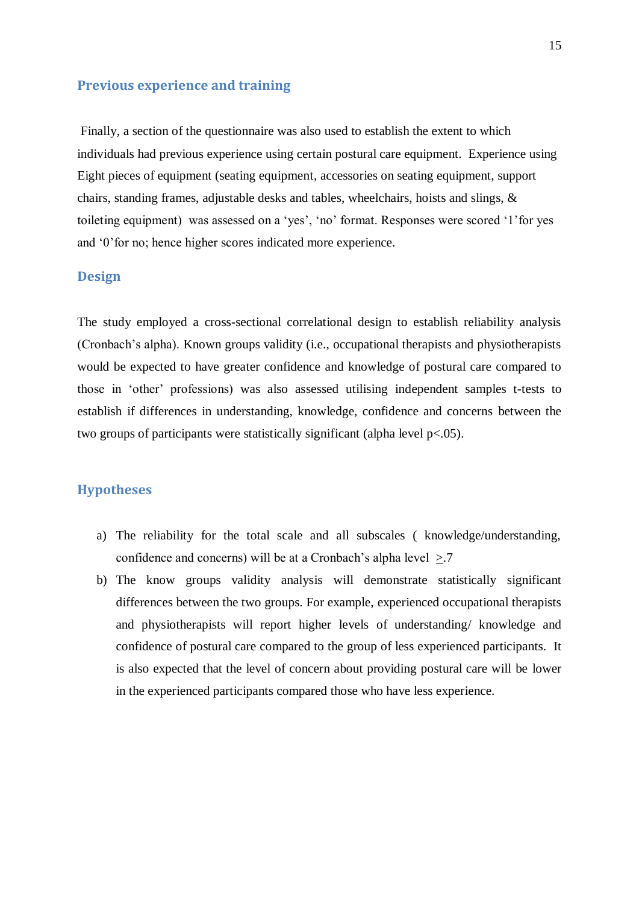#### <span id="page-15-0"></span>**Previous experience and training**

<span id="page-15-1"></span> Finally, a section of the questionnaire was also used to establish the extent to which individuals had previous experience using certain postural care equipment. Experience using Eight pieces of equipment (seating equipment, accessories on seating equipment, support chairs, standing frames, adjustable desks and tables, wheelchairs, hoists and slings, & toileting equipment) was assessed on a "yes", "no" format. Responses were scored "1"for yes and "0"for no; hence higher scores indicated more experience.

#### **Design**

The study employed a cross-sectional correlational design to establish reliability analysis (Cronbach"s alpha). Known groups validity (i.e., occupational therapists and physiotherapists would be expected to have greater confidence and knowledge of postural care compared to those in "other" professions) was also assessed utilising independent samples t-tests to establish if differences in understanding, knowledge, confidence and concerns between the two groups of participants were statistically significant (alpha level p<.05).

# <span id="page-15-2"></span>**Hypotheses**

- a) The reliability for the total scale and all subscales ( knowledge/understanding, confidence and concerns) will be at a Cronbach's alpha level  $>7$ .
- b) The know groups validity analysis will demonstrate statistically significant differences between the two groups. For example, experienced occupational therapists and physiotherapists will report higher levels of understanding/ knowledge and confidence of postural care compared to the group of less experienced participants. It is also expected that the level of concern about providing postural care will be lower in the experienced participants compared those who have less experience.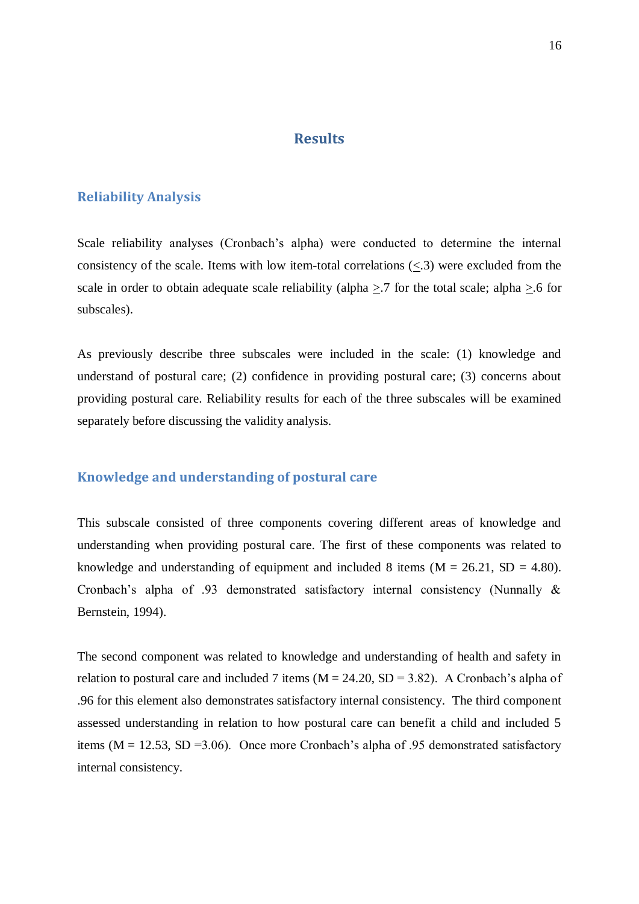# **Results**

#### <span id="page-16-0"></span>**Reliability Analysis**

Scale reliability analyses (Cronbach's alpha) were conducted to determine the internal consistency of the scale. Items with low item-total correlations  $\langle \langle .3 \rangle$  were excluded from the scale in order to obtain adequate scale reliability (alpha  $>$  7 for the total scale; alpha  $>$  6 for subscales).

As previously describe three subscales were included in the scale: (1) knowledge and understand of postural care; (2) confidence in providing postural care; (3) concerns about providing postural care. Reliability results for each of the three subscales will be examined separately before discussing the validity analysis.

# **Knowledge and understanding of postural care**

This subscale consisted of three components covering different areas of knowledge and understanding when providing postural care. The first of these components was related to knowledge and understanding of equipment and included 8 items ( $M = 26.21$ ,  $SD = 4.80$ ). Cronbach"s alpha of .93 demonstrated satisfactory internal consistency (Nunnally & Bernstein, 1994).

<span id="page-16-1"></span>The second component was related to knowledge and understanding of health and safety in relation to postural care and included 7 items ( $M = 24.20$ ,  $SD = 3.82$ ). A Cronbach's alpha of .96 for this element also demonstrates satisfactory internal consistency. The third component assessed understanding in relation to how postural care can benefit a child and included 5 items ( $M = 12.53$ , SD = 3.06). Once more Cronbach's alpha of .95 demonstrated satisfactory internal consistency.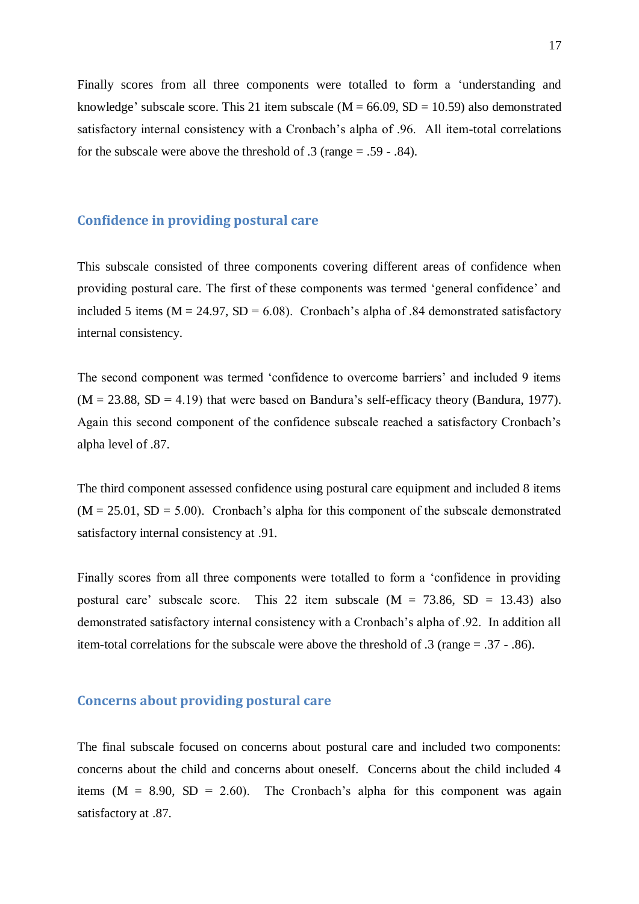Finally scores from all three components were totalled to form a "understanding and knowledge' subscale score. This 21 item subscale ( $M = 66.09$ ,  $SD = 10.59$ ) also demonstrated satisfactory internal consistency with a Cronbach's alpha of .96. All item-total correlations for the subscale were above the threshold of .3 (range = .59 - .84).

#### **Confidence in providing postural care**

<span id="page-17-0"></span>This subscale consisted of three components covering different areas of confidence when providing postural care. The first of these components was termed "general confidence" and included 5 items ( $M = 24.97$ ,  $SD = 6.08$ ). Cronbach's alpha of .84 demonstrated satisfactory internal consistency.

The second component was termed 'confidence to overcome barriers' and included 9 items  $(M = 23.88, SD = 4.19)$  that were based on Bandura's self-efficacy theory (Bandura, 1977). Again this second component of the confidence subscale reached a satisfactory Cronbach"s alpha level of .87.

<span id="page-17-1"></span>The third component assessed confidence using postural care equipment and included 8 items  $(M = 25.01, SD = 5.00)$ . Cronbach's alpha for this component of the subscale demonstrated satisfactory internal consistency at .91.

Finally scores from all three components were totalled to form a "confidence in providing postural care' subscale score. This 22 item subscale  $(M = 73.86, SD = 13.43)$  also demonstrated satisfactory internal consistency with a Cronbach"s alpha of .92. In addition all item-total correlations for the subscale were above the threshold of .3 (range = .37 - .86).

#### **Concerns about providing postural care**

The final subscale focused on concerns about postural care and included two components: concerns about the child and concerns about oneself. Concerns about the child included 4 items  $(M = 8.90, SD = 2.60)$ . The Cronbach's alpha for this component was again satisfactory at .87.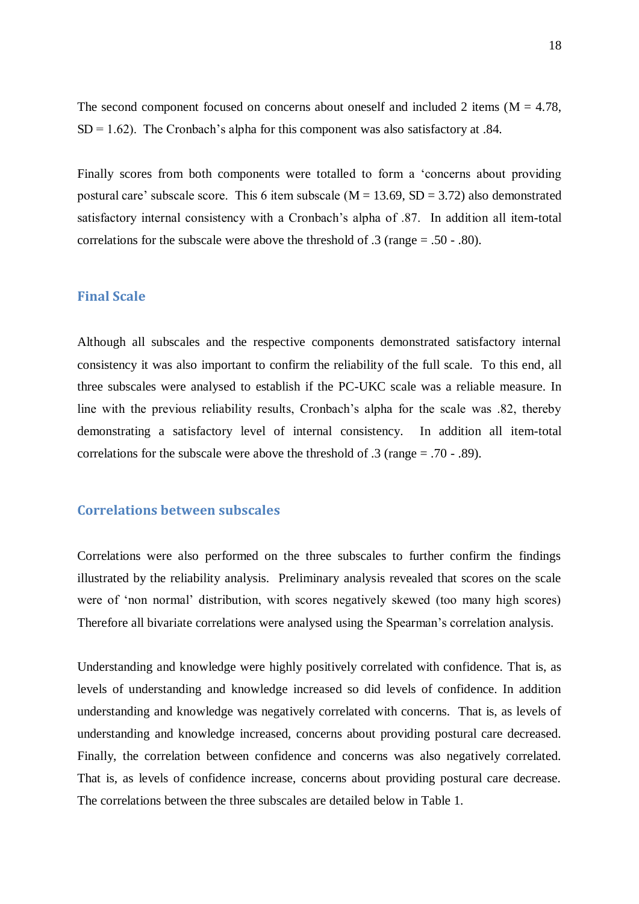<span id="page-18-0"></span>The second component focused on concerns about oneself and included 2 items  $(M = 4.78$ ,  $SD = 1.62$ ). The Cronbach's alpha for this component was also satisfactory at .84.

Finally scores from both components were totalled to form a "concerns about providing postural care' subscale score. This 6 item subscale ( $M = 13.69$ ,  $SD = 3.72$ ) also demonstrated satisfactory internal consistency with a Cronbach's alpha of  $.87$ . In addition all item-total correlations for the subscale were above the threshold of .3 (range = .50 - .80).

## **Final Scale**

<span id="page-18-1"></span>Although all subscales and the respective components demonstrated satisfactory internal consistency it was also important to confirm the reliability of the full scale. To this end, all three subscales were analysed to establish if the PC-UKC scale was a reliable measure. In line with the previous reliability results, Cronbach's alpha for the scale was .82, thereby demonstrating a satisfactory level of internal consistency. In addition all item-total correlations for the subscale were above the threshold of .3 (range = .70 - .89).

#### **Correlations between subscales**

<span id="page-18-2"></span>Correlations were also performed on the three subscales to further confirm the findings illustrated by the reliability analysis. Preliminary analysis revealed that scores on the scale were of 'non normal' distribution, with scores negatively skewed (too many high scores) Therefore all bivariate correlations were analysed using the Spearman"s correlation analysis.

Understanding and knowledge were highly positively correlated with confidence. That is, as levels of understanding and knowledge increased so did levels of confidence. In addition understanding and knowledge was negatively correlated with concerns. That is, as levels of understanding and knowledge increased, concerns about providing postural care decreased. Finally, the correlation between confidence and concerns was also negatively correlated. That is, as levels of confidence increase, concerns about providing postural care decrease. The correlations between the three subscales are detailed below in Table 1.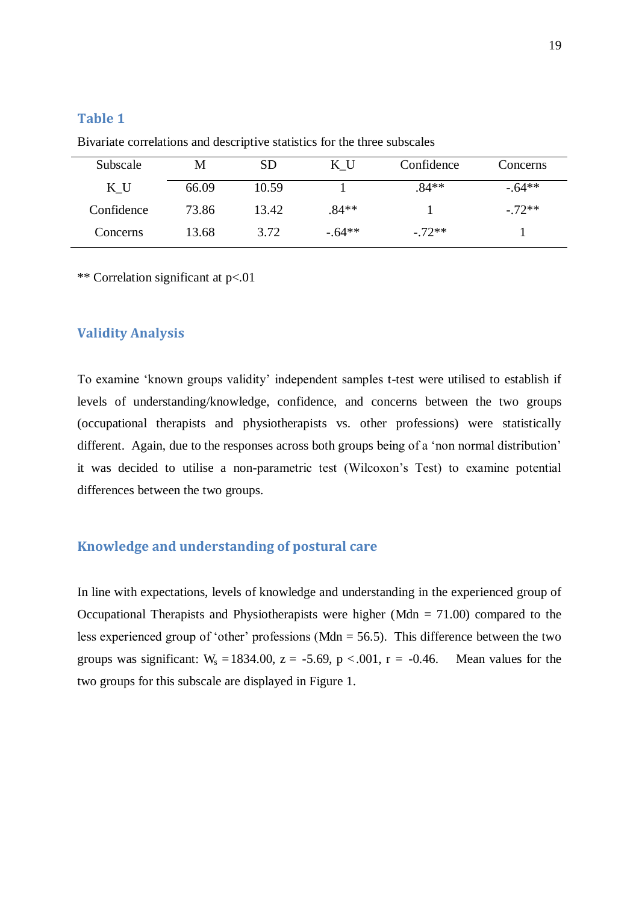# <span id="page-19-0"></span>**Table 1**

| Subscale   | M     | <b>SD</b> | ΚU       | Confidence | Concerns  |
|------------|-------|-----------|----------|------------|-----------|
| K U        | 66.09 | 10.59     |          | $.84**$    | $-.64**$  |
| Confidence | 73.86 | 13.42     | $.84**$  |            | $-0.72**$ |
| Concerns   | 13.68 | 3.72      | $-.64**$ | $-0.72**$  |           |

Bivariate correlations and descriptive statistics for the three subscales

\*\* Correlation significant at p<.01

#### **Validity Analysis**

To examine "known groups validity" independent samples t-test were utilised to establish if levels of understanding/knowledge, confidence, and concerns between the two groups (occupational therapists and physiotherapists vs. other professions) were statistically different. Again, due to the responses across both groups being of a 'non normal distribution' it was decided to utilise a non-parametric test (Wilcoxon"s Test) to examine potential differences between the two groups.

# <span id="page-19-1"></span>**Knowledge and understanding of postural care**

In line with expectations, levels of knowledge and understanding in the experienced group of Occupational Therapists and Physiotherapists were higher (Mdn  $= 71.00$ ) compared to the less experienced group of 'other' professions (Mdn  $=$  56.5). This difference between the two groups was significant:  $W_s = 1834.00$ ,  $z = -5.69$ ,  $p < .001$ ,  $r = -0.46$ . Mean values for the two groups for this subscale are displayed in Figure 1.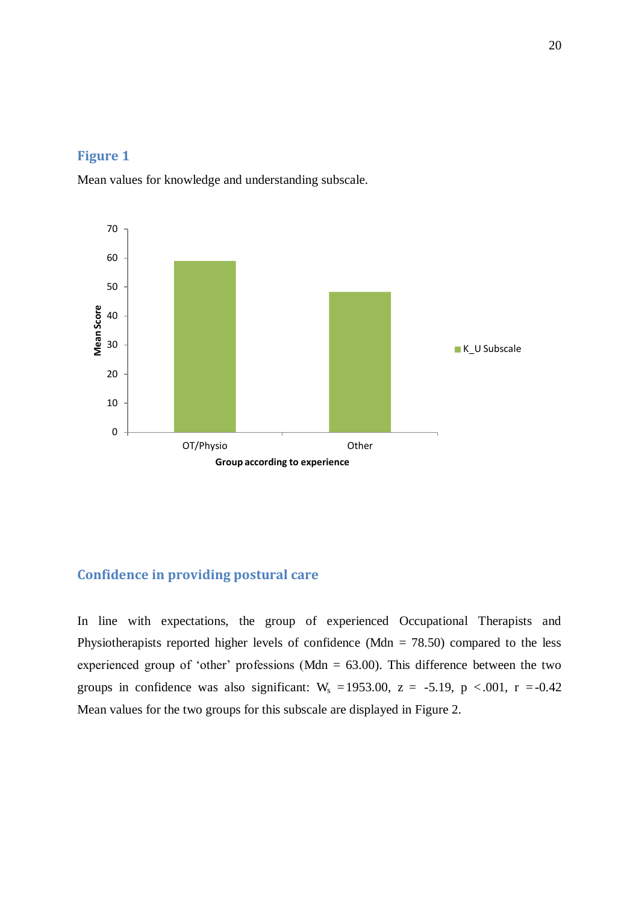# <span id="page-20-0"></span>**Figure 1**

Mean values for knowledge and understanding subscale.



# <span id="page-20-1"></span>**Confidence in providing postural care**

<span id="page-20-2"></span>In line with expectations, the group of experienced Occupational Therapists and Physiotherapists reported higher levels of confidence (Mdn  $= 78.50$ ) compared to the less experienced group of 'other' professions (Mdn  $= 63.00$ ). This difference between the two groups in confidence was also significant:  $W_s = 1953.00$ ,  $z = -5.19$ ,  $p < .001$ ,  $r = -0.42$ Mean values for the two groups for this subscale are displayed in Figure 2.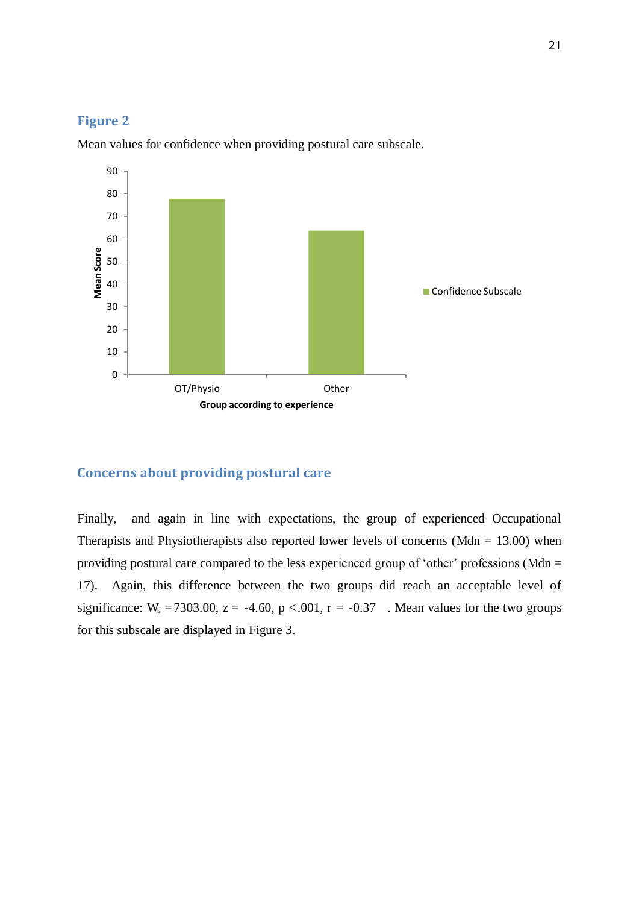#### **Figure 2**



Mean values for confidence when providing postural care subscale.

# <span id="page-21-0"></span>**Concerns about providing postural care**

<span id="page-21-1"></span>Finally, and again in line with expectations, the group of experienced Occupational Therapists and Physiotherapists also reported lower levels of concerns (Mdn  $= 13.00$ ) when providing postural care compared to the less experienced group of 'other' professions (Mdn  $=$ 17). Again, this difference between the two groups did reach an acceptable level of significance:  $W_s = 7303.00$ ,  $z = -4.60$ ,  $p < .001$ ,  $r = -0.37$ . Mean values for the two groups for this subscale are displayed in Figure 3.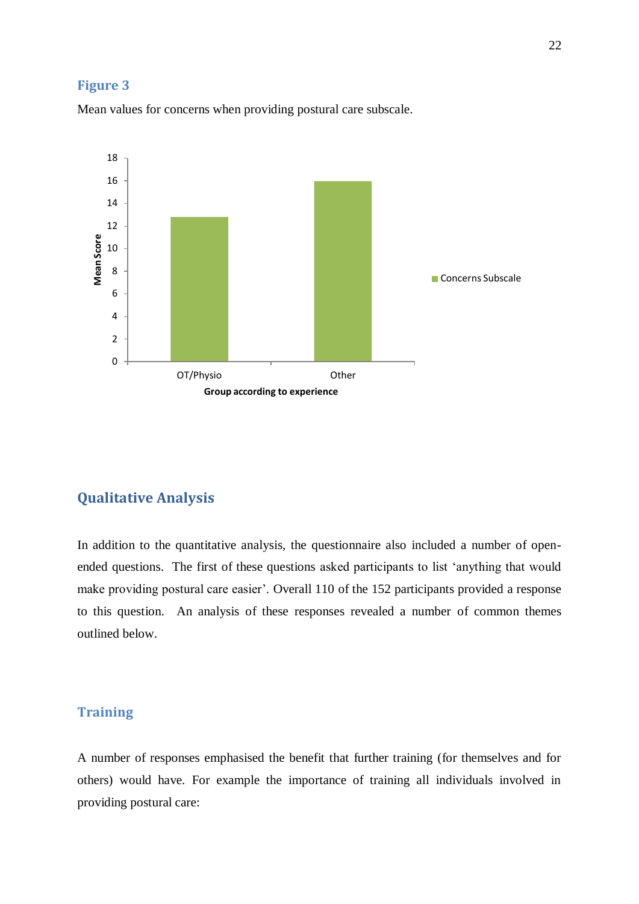#### **Figure 3**



Mean values for concerns when providing postural care subscale.

# <span id="page-22-0"></span>**Qualitative Analysis**

In addition to the quantitative analysis, the questionnaire also included a number of openended questions. The first of these questions asked participants to list "anything that would make providing postural care easier'. Overall 110 of the 152 participants provided a response to this question. An analysis of these responses revealed a number of common themes outlined below.

# **Training**

A number of responses emphasised the benefit that further training (for themselves and for others) would have. For example the importance of training all individuals involved in providing postural care: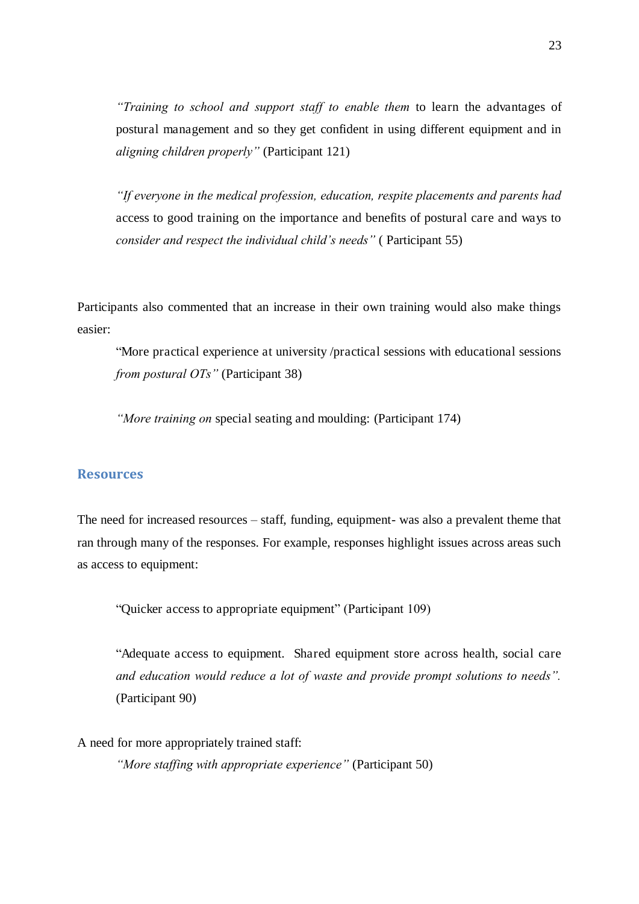*"Training to school and support staff to enable them* to learn the advantages of postural management and so they get confident in using different equipment and in *aligning children properly"* (Participant 121)

<span id="page-23-0"></span>*"If everyone in the medical profession, education, respite placements and parents had*  access to good training on the importance and benefits of postural care and ways to *consider and respect the individual child's needs"* ( Participant 55)

Participants also commented that an increase in their own training would also make things easier:

"More practical experience at university /practical sessions with educational sessions *from postural OTs"* (Participant 38)

*"More training on* special seating and moulding: (Participant 174)

#### **Resources**

The need for increased resources – staff, funding, equipment- was also a prevalent theme that ran through many of the responses. For example, responses highlight issues across areas such as access to equipment:

"Quicker access to appropriate equipment" (Participant 109)

<span id="page-23-1"></span>"Adequate access to equipment. Shared equipment store across health, social care *and education would reduce a lot of waste and provide prompt solutions to needs".* (Participant 90)

A need for more appropriately trained staff: *"More staffing with appropriate experience"* (Participant 50)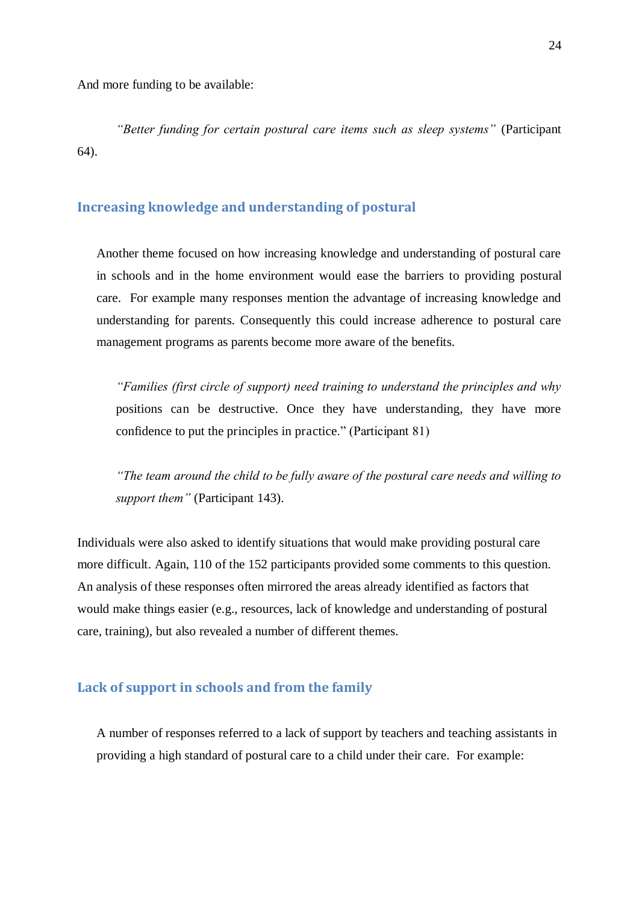And more funding to be available:

*"Better funding for certain postural care items such as sleep systems"* (Participant 64).

# **Increasing knowledge and understanding of postural**

Another theme focused on how increasing knowledge and understanding of postural care in schools and in the home environment would ease the barriers to providing postural care. For example many responses mention the advantage of increasing knowledge and understanding for parents. Consequently this could increase adherence to postural care management programs as parents become more aware of the benefits.

<span id="page-24-0"></span>*"Families (first circle of support) need training to understand the principles and why*  positions can be destructive. Once they have understanding, they have more confidence to put the principles in practice." (Participant 81)

*"The team around the child to be fully aware of the postural care needs and willing to support them"* (Participant 143).

Individuals were also asked to identify situations that would make providing postural care more difficult. Again, 110 of the 152 participants provided some comments to this question. An analysis of these responses often mirrored the areas already identified as factors that would make things easier (e.g., resources, lack of knowledge and understanding of postural care, training), but also revealed a number of different themes.

#### <span id="page-24-1"></span>**Lack of support in schools and from the family**

A number of responses referred to a lack of support by teachers and teaching assistants in providing a high standard of postural care to a child under their care. For example: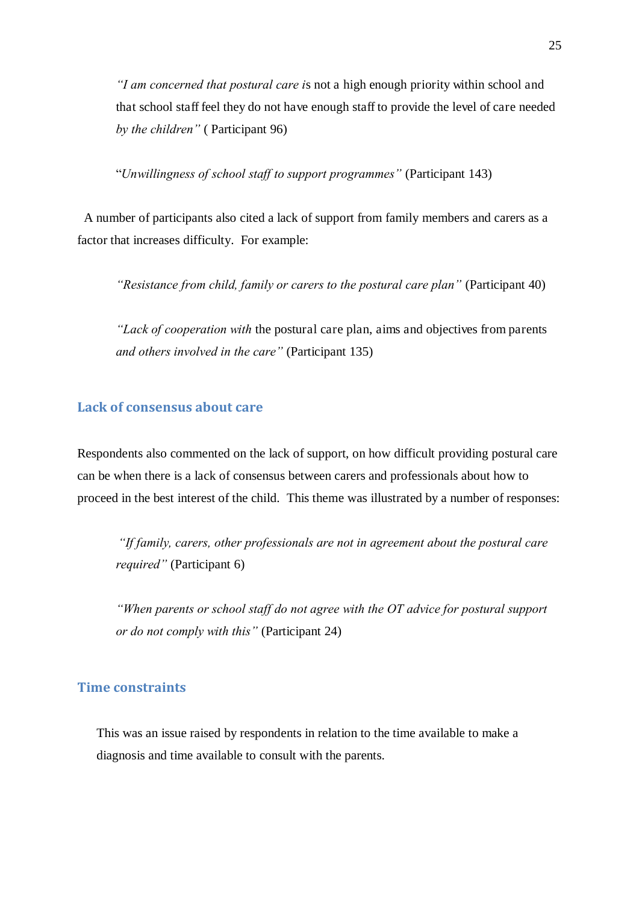*"I am concerned that postural care i*s not a high enough priority within school and that school staff feel they do not have enough staff to provide the level of care needed *by the children"* ( Participant 96)

"*Unwillingness of school staff to support programmes"* (Participant 143)

 A number of participants also cited a lack of support from family members and carers as a factor that increases difficulty. For example:

*"Resistance from child, family or carers to the postural care plan"* (Participant 40)

<span id="page-25-0"></span>*"Lack of cooperation with* the postural care plan, aims and objectives from parents *and others involved in the care"* (Participant 135)

# **Lack of consensus about care**

Respondents also commented on the lack of support, on how difficult providing postural care can be when there is a lack of consensus between carers and professionals about how to proceed in the best interest of the child. This theme was illustrated by a number of responses:

*"If family, carers, other professionals are not in agreement about the postural care required"* (Participant 6)

*"When parents or school staff do not agree with the OT advice for postural support or do not comply with this"* (Participant 24)

# **Time constraints**

This was an issue raised by respondents in relation to the time available to make a diagnosis and time available to consult with the parents.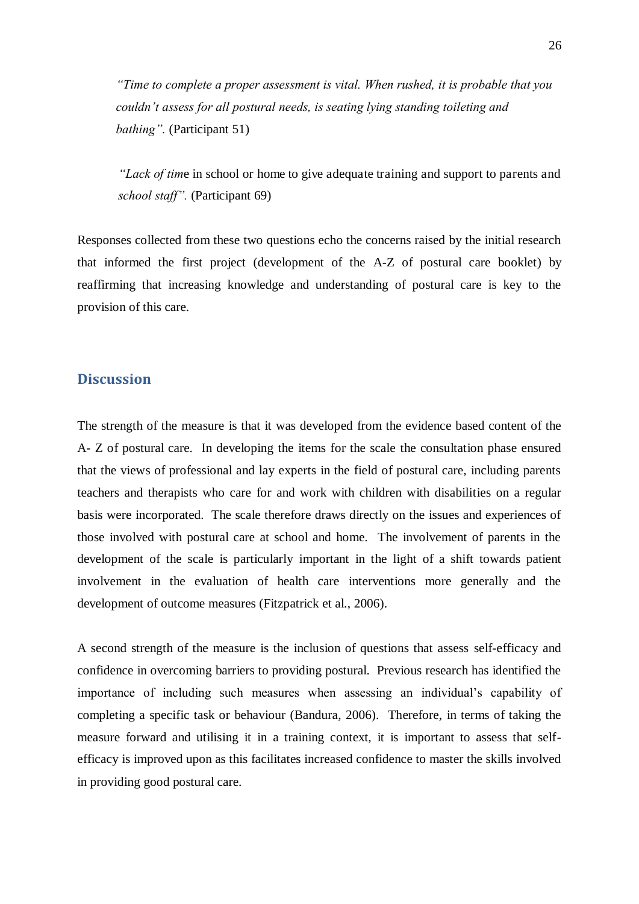*"Time to complete a proper assessment is vital. When rushed, it is probable that you couldn't assess for all postural needs, is seating lying standing toileting and bathing".* (Participant 51)

*"Lack of tim*e in school or home to give adequate training and support to parents and *school staff".* (Participant 69)

Responses collected from these two questions echo the concerns raised by the initial research that informed the first project (development of the A-Z of postural care booklet) by reaffirming that increasing knowledge and understanding of postural care is key to the provision of this care.

# **Discussion**

The strength of the measure is that it was developed from the evidence based content of the A- Z of postural care. In developing the items for the scale the consultation phase ensured that the views of professional and lay experts in the field of postural care, including parents teachers and therapists who care for and work with children with disabilities on a regular basis were incorporated. The scale therefore draws directly on the issues and experiences of those involved with postural care at school and home. The involvement of parents in the development of the scale is particularly important in the light of a shift towards patient involvement in the evaluation of health care interventions more generally and the development of outcome measures (Fitzpatrick et al., 2006).

<span id="page-26-0"></span>A second strength of the measure is the inclusion of questions that assess self-efficacy and confidence in overcoming barriers to providing postural. Previous research has identified the importance of including such measures when assessing an individual"s capability of completing a specific task or behaviour (Bandura, 2006). Therefore, in terms of taking the measure forward and utilising it in a training context, it is important to assess that selfefficacy is improved upon as this facilitates increased confidence to master the skills involved in providing good postural care.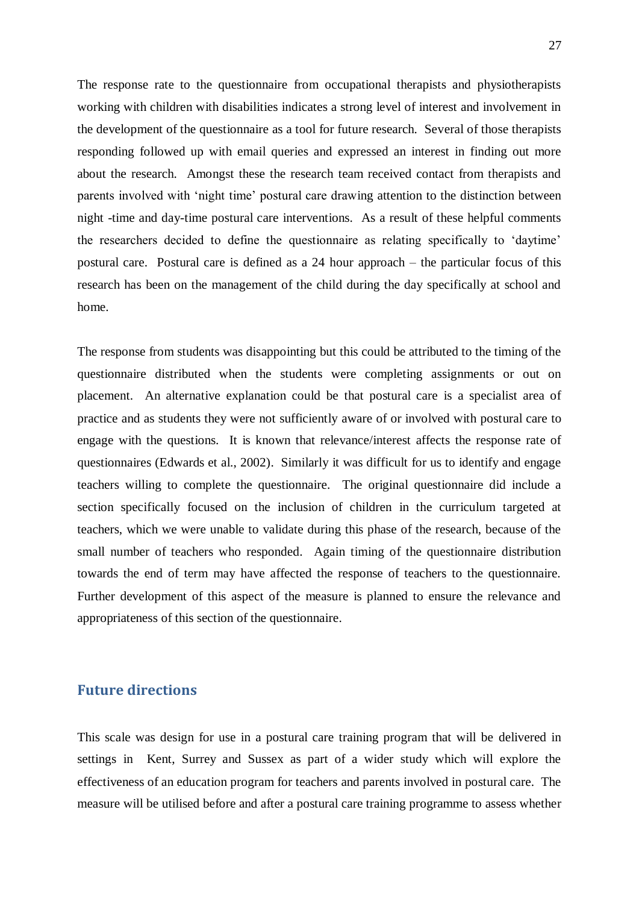<span id="page-27-0"></span>The response rate to the questionnaire from occupational therapists and physiotherapists working with children with disabilities indicates a strong level of interest and involvement in the development of the questionnaire as a tool for future research. Several of those therapists responding followed up with email queries and expressed an interest in finding out more about the research. Amongst these the research team received contact from therapists and parents involved with "night time" postural care drawing attention to the distinction between night -time and day-time postural care interventions. As a result of these helpful comments the researchers decided to define the questionnaire as relating specifically to "daytime" postural care. Postural care is defined as a 24 hour approach – the particular focus of this research has been on the management of the child during the day specifically at school and home.

The response from students was disappointing but this could be attributed to the timing of the questionnaire distributed when the students were completing assignments or out on placement. An alternative explanation could be that postural care is a specialist area of practice and as students they were not sufficiently aware of or involved with postural care to engage with the questions. It is known that relevance/interest affects the response rate of questionnaires (Edwards et al., 2002). Similarly it was difficult for us to identify and engage teachers willing to complete the questionnaire. The original questionnaire did include a section specifically focused on the inclusion of children in the curriculum targeted at teachers, which we were unable to validate during this phase of the research, because of the small number of teachers who responded. Again timing of the questionnaire distribution towards the end of term may have affected the response of teachers to the questionnaire. Further development of this aspect of the measure is planned to ensure the relevance and appropriateness of this section of the questionnaire.

# **Future directions**

This scale was design for use in a postural care training program that will be delivered in settings in Kent, Surrey and Sussex as part of a wider study which will explore the effectiveness of an education program for teachers and parents involved in postural care. The measure will be utilised before and after a postural care training programme to assess whether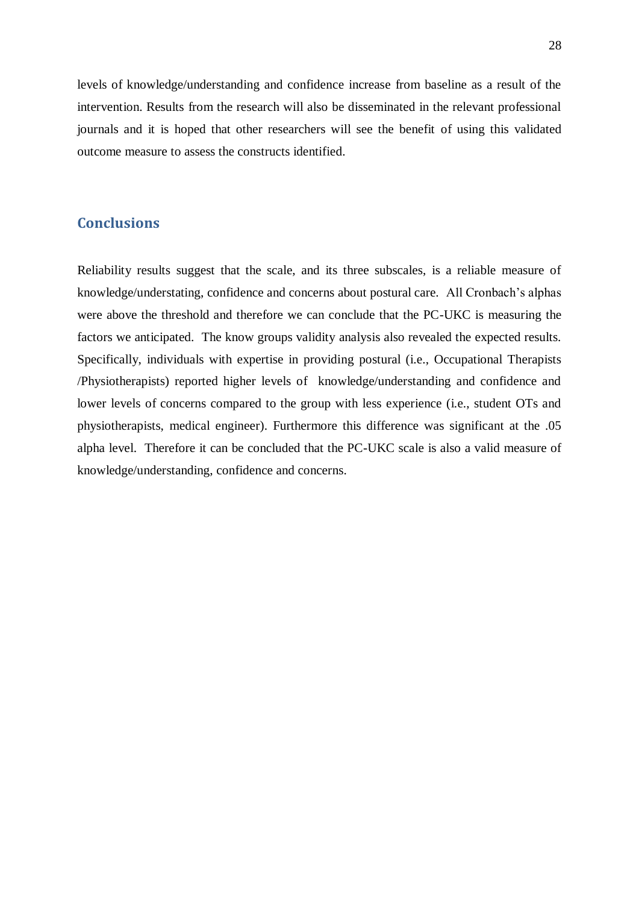<span id="page-28-0"></span>levels of knowledge/understanding and confidence increase from baseline as a result of the intervention. Results from the research will also be disseminated in the relevant professional journals and it is hoped that other researchers will see the benefit of using this validated outcome measure to assess the constructs identified.

# **Conclusions**

Reliability results suggest that the scale, and its three subscales, is a reliable measure of knowledge/understating, confidence and concerns about postural care. All Cronbach"s alphas were above the threshold and therefore we can conclude that the PC-UKC is measuring the factors we anticipated. The know groups validity analysis also revealed the expected results. Specifically, individuals with expertise in providing postural (i.e., Occupational Therapists /Physiotherapists) reported higher levels of knowledge/understanding and confidence and lower levels of concerns compared to the group with less experience (i.e., student OTs and physiotherapists, medical engineer). Furthermore this difference was significant at the .05 alpha level. Therefore it can be concluded that the PC-UKC scale is also a valid measure of knowledge/understanding, confidence and concerns.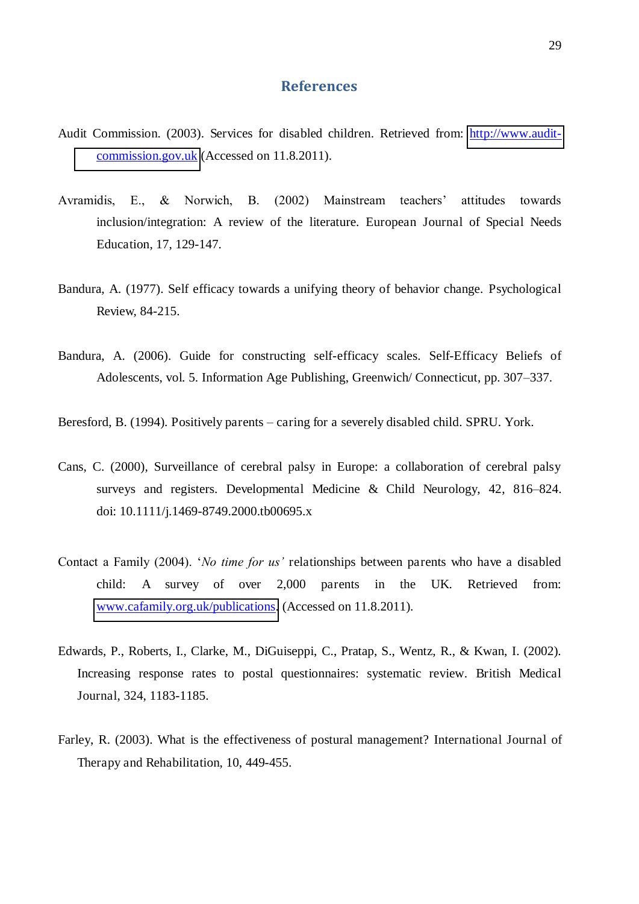# **References**

- Audit Commission. (2003). Services for disabled children. Retrieved from: [http://www.audit](http://www.audit-commission.gov.uk/)[commission.gov.uk](http://www.audit-commission.gov.uk/) (Accessed on 11.8.2011).
- Avramidis, E., & Norwich, B. (2002) Mainstream teachers' attitudes towards inclusion/integration: A review of the literature. European Journal of Special Needs Education, 17, 129-147.
- Bandura, A. (1977). Self efficacy towards a unifying theory of behavior change. Psychological Review, 84-215.
- Bandura, A. (2006). Guide for constructing self-efficacy scales. Self-Efficacy Beliefs of Adolescents, vol. 5. Information Age Publishing, Greenwich/ Connecticut, pp. 307–337.

Beresford, B. (1994). Positively parents *–* caring for a severely disabled child. SPRU. York.

- Cans, C. (2000), Surveillance of cerebral palsy in Europe: a collaboration of cerebral palsy surveys and registers. Developmental Medicine & Child Neurology, 42, 816–824. doi: 10.1111/j.1469-8749.2000.tb00695.x
- Contact a Family (2004). "*No time for us'* relationships between parents who have a disabled child: A survey of over 2,000 parents in the UK. Retrieved from: [www.cafamily.org.uk/publications.](http://www.cafamily.org.uk/publications) (Accessed on 11.8.2011).
- Edwards, P., Roberts, I., Clarke, M., DiGuiseppi, C., Pratap, S., Wentz, R., & Kwan, I. (2002). Increasing response rates to postal questionnaires: systematic review. British Medical Journal, 324, 1183-1185.
- Farley, R. (2003). What is the effectiveness of postural management? International Journal of Therapy and Rehabilitation, 10, 449-455.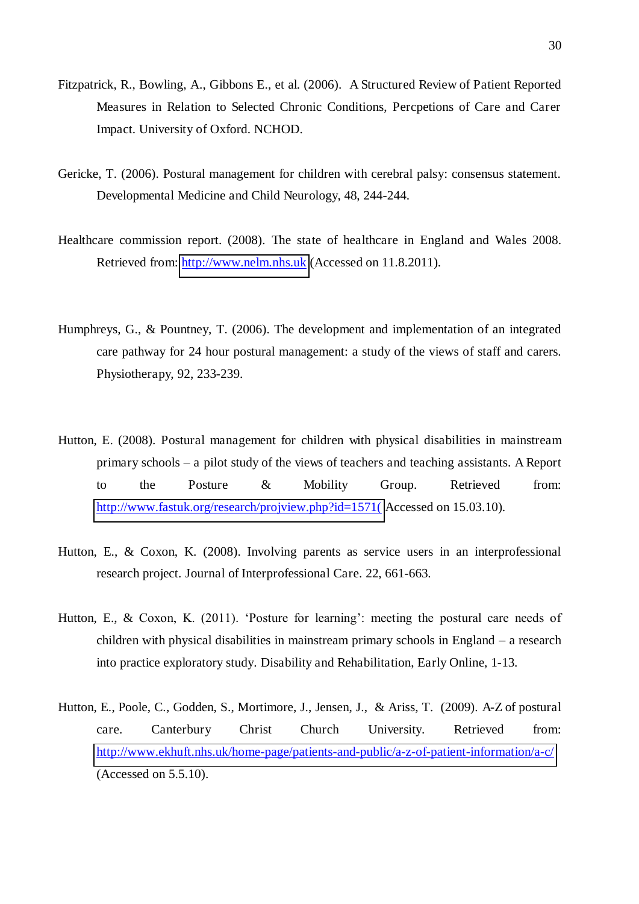- Fitzpatrick, R., Bowling, A., Gibbons E., et al. (2006). A Structured Review of Patient Reported Measures in Relation to Selected Chronic Conditions, Percpetions of Care and Carer Impact. University of Oxford. NCHOD.
- Gericke, T. (2006). Postural management for children with cerebral palsy: consensus statement. Developmental Medicine and Child Neurology, 48, 244-244.
- Healthcare commission report. (2008). The state of healthcare in England and Wales 2008. Retrieved from: [http://www.nelm.nhs.uk](http://www.nelm.nhs.uk/) (Accessed on 11.8.2011).
- Humphreys, G., & Pountney, T. (2006). The development and implementation of an integrated care pathway for 24 hour postural management: a study of the views of staff and carers. Physiotherapy, 92, 233-239.
- Hutton, E. (2008). Postural management for children with physical disabilities in mainstream primary schools *–* a pilot study of the views of teachers and teaching assistants. A Report to the Posture & Mobility Group. Retrieved from: http://www.fastuk.org/research/projview.php?id=1571(Accessed on 15.03.10).
- Hutton, E., & Coxon, K. (2008). Involving parents as service users in an interprofessional research project. Journal of Interprofessional Care. 22, 661-663.
- Hutton, E., & Coxon, K. (2011). 'Posture for learning': meeting the postural care needs of children with physical disabilities in mainstream primary schools in England – a research into practice exploratory study. Disability and Rehabilitation, Early Online, 1-13.
- Hutton, E., Poole, C., Godden, S., Mortimore, J., Jensen, J., & Ariss, T. (2009). A-Z of postural care. Canterbury Christ Church University. Retrieved from: <http://www.ekhuft.nhs.uk/home-page/patients-and-public/a-z-of-patient-information/a-c/> (Accessed on 5.5.10).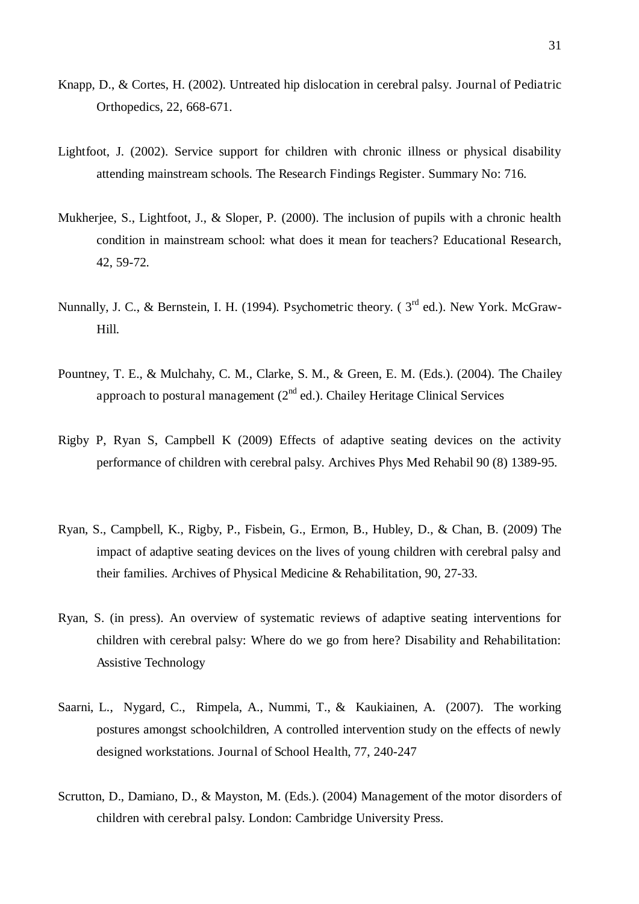- Knapp, D., & Cortes, H. (2002). Untreated hip dislocation in cerebral palsy. Journal of Pediatric Orthopedics, 22, 668-671.
- Lightfoot, J. (2002). Service support for children with chronic illness or physical disability attending mainstream schools. The Research Findings Register. Summary No: 716.
- Mukherjee, S., Lightfoot, J., & Sloper, P. (2000). The inclusion of pupils with a chronic health condition in mainstream school: what does it mean for teachers? Educational Research, 42, 59-72.
- Nunnally, J. C., & Bernstein, I. H. (1994). Psychometric theory. ( $3<sup>rd</sup>$  ed.). New York. McGraw-Hill.
- Pountney, T. E., & Mulchahy, C. M., Clarke, S. M., & Green, E. M. (Eds.). (2004). The Chailey approach to postural management  $(2^{nd}$  ed.). Chailey Heritage Clinical Services
- Rigby P, Ryan S, Campbell K (2009) Effects of adaptive seating devices on the activity performance of children with cerebral palsy. Archives Phys Med Rehabil 90 (8) 1389-95.
- Ryan, S., Campbell, K., Rigby, P., Fisbein, G., Ermon, B., Hubley, D., & Chan, B. (2009) The impact of adaptive seating devices on the lives of young children with cerebral palsy and their families. Archives of Physical Medicine & Rehabilitation, 90, 27-33.
- Ryan, S. (in press). An overview of systematic reviews of adaptive seating interventions for children with cerebral palsy: Where do we go from here? Disability and Rehabilitation: Assistive Technology
- Saarni, L., Nygard, C., Rimpela, A., Nummi, T., & Kaukiainen, A. (2007). The working postures amongst schoolchildren, A controlled intervention study on the effects of newly designed workstations. Journal of School Health, 77, 240-247
- Scrutton, D., Damiano, D., & Mayston, M. (Eds.). (2004) Management of the motor disorders of children with cerebral palsy. London: Cambridge University Press.